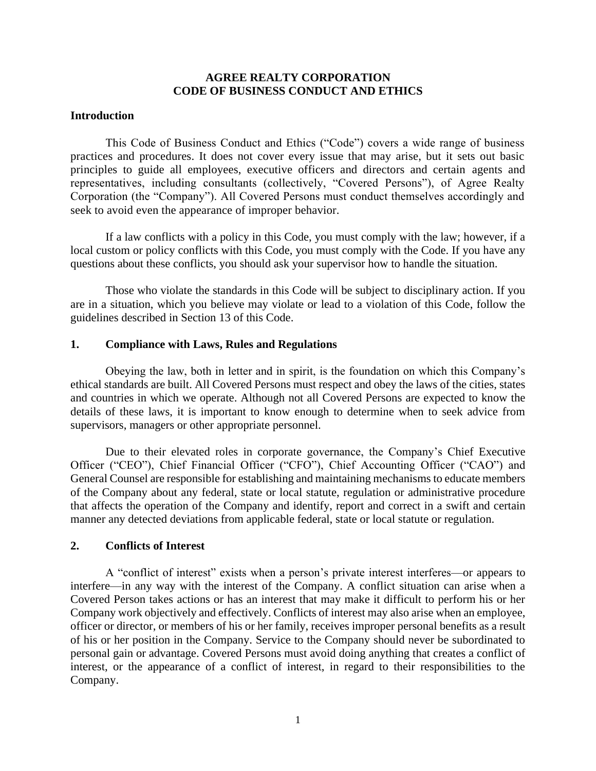# **AGREE REALTY CORPORATION CODE OF BUSINESS CONDUCT AND ETHICS**

### **Introduction**

This Code of Business Conduct and Ethics ("Code") covers a wide range of business practices and procedures. It does not cover every issue that may arise, but it sets out basic principles to guide all employees, executive officers and directors and certain agents and representatives, including consultants (collectively, "Covered Persons"), of Agree Realty Corporation (the "Company"). All Covered Persons must conduct themselves accordingly and seek to avoid even the appearance of improper behavior.

If a law conflicts with a policy in this Code, you must comply with the law; however, if a local custom or policy conflicts with this Code, you must comply with the Code. If you have any questions about these conflicts, you should ask your supervisor how to handle the situation.

Those who violate the standards in this Code will be subject to disciplinary action. If you are in a situation, which you believe may violate or lead to a violation of this Code, follow the guidelines described in Section 13 of this Code.

# **1. Compliance with Laws, Rules and Regulations**

Obeying the law, both in letter and in spirit, is the foundation on which this Company's ethical standards are built. All Covered Persons must respect and obey the laws of the cities, states and countries in which we operate. Although not all Covered Persons are expected to know the details of these laws, it is important to know enough to determine when to seek advice from supervisors, managers or other appropriate personnel.

Due to their elevated roles in corporate governance, the Company's Chief Executive Officer ("CEO"), Chief Financial Officer ("CFO"), Chief Accounting Officer ("CAO") and General Counsel are responsible for establishing and maintaining mechanisms to educate members of the Company about any federal, state or local statute, regulation or administrative procedure that affects the operation of the Company and identify, report and correct in a swift and certain manner any detected deviations from applicable federal, state or local statute or regulation.

# **2. Conflicts of Interest**

A "conflict of interest" exists when a person's private interest interferes—or appears to interfere—in any way with the interest of the Company. A conflict situation can arise when a Covered Person takes actions or has an interest that may make it difficult to perform his or her Company work objectively and effectively. Conflicts of interest may also arise when an employee, officer or director, or members of his or her family, receives improper personal benefits as a result of his or her position in the Company. Service to the Company should never be subordinated to personal gain or advantage. Covered Persons must avoid doing anything that creates a conflict of interest, or the appearance of a conflict of interest, in regard to their responsibilities to the Company.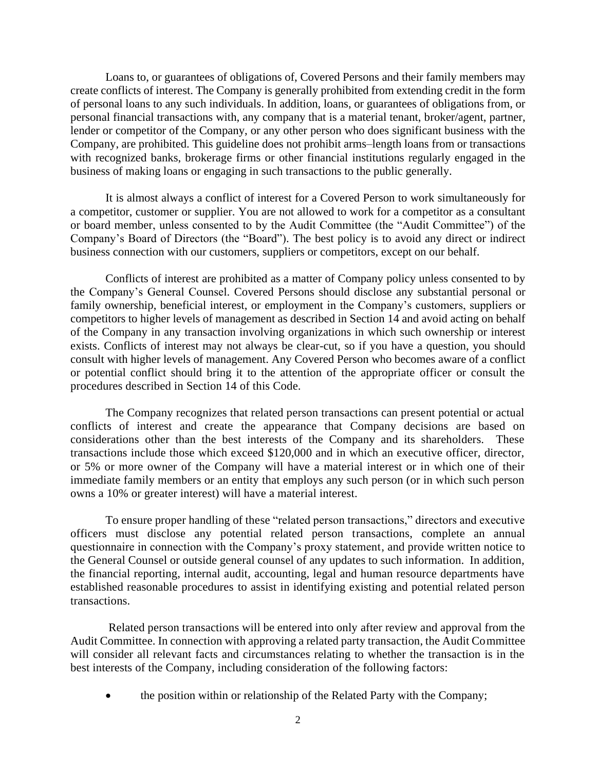Loans to, or guarantees of obligations of, Covered Persons and their family members may create conflicts of interest. The Company is generally prohibited from extending credit in the form of personal loans to any such individuals. In addition, loans, or guarantees of obligations from, or personal financial transactions with, any company that is a material tenant, broker/agent, partner, lender or competitor of the Company, or any other person who does significant business with the Company, are prohibited. This guideline does not prohibit arms–length loans from or transactions with recognized banks, brokerage firms or other financial institutions regularly engaged in the business of making loans or engaging in such transactions to the public generally.

It is almost always a conflict of interest for a Covered Person to work simultaneously for a competitor, customer or supplier. You are not allowed to work for a competitor as a consultant or board member, unless consented to by the Audit Committee (the "Audit Committee") of the Company's Board of Directors (the "Board"). The best policy is to avoid any direct or indirect business connection with our customers, suppliers or competitors, except on our behalf.

Conflicts of interest are prohibited as a matter of Company policy unless consented to by the Company's General Counsel. Covered Persons should disclose any substantial personal or family ownership, beneficial interest, or employment in the Company's customers, suppliers or competitors to higher levels of management as described in Section 14 and avoid acting on behalf of the Company in any transaction involving organizations in which such ownership or interest exists. Conflicts of interest may not always be clear-cut, so if you have a question, you should consult with higher levels of management. Any Covered Person who becomes aware of a conflict or potential conflict should bring it to the attention of the appropriate officer or consult the procedures described in Section 14 of this Code.

The Company recognizes that related person transactions can present potential or actual conflicts of interest and create the appearance that Company decisions are based on considerations other than the best interests of the Company and its shareholders. These transactions include those which exceed \$120,000 and in which an executive officer, director, or 5% or more owner of the Company will have a material interest or in which one of their immediate family members or an entity that employs any such person (or in which such person owns a 10% or greater interest) will have a material interest.

To ensure proper handling of these "related person transactions," directors and executive officers must disclose any potential related person transactions, complete an annual questionnaire in connection with the Company's proxy statement, and provide written notice to the General Counsel or outside general counsel of any updates to such information. In addition, the financial reporting, internal audit, accounting, legal and human resource departments have established reasonable procedures to assist in identifying existing and potential related person transactions.

Related person transactions will be entered into only after review and approval from the Audit Committee. In connection with approving a related party transaction, the Audit Committee will consider all relevant facts and circumstances relating to whether the transaction is in the best interests of the Company, including consideration of the following factors:

• the position within or relationship of the Related Party with the Company;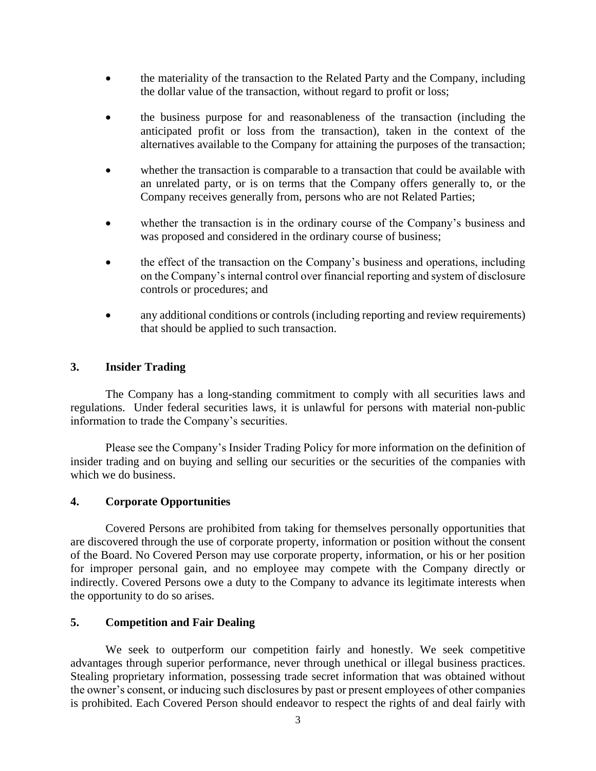- the materiality of the transaction to the Related Party and the Company, including the dollar value of the transaction, without regard to profit or loss;
- the business purpose for and reasonableness of the transaction (including the anticipated profit or loss from the transaction), taken in the context of the alternatives available to the Company for attaining the purposes of the transaction;
- whether the transaction is comparable to a transaction that could be available with an unrelated party, or is on terms that the Company offers generally to, or the Company receives generally from, persons who are not Related Parties;
- whether the transaction is in the ordinary course of the Company's business and was proposed and considered in the ordinary course of business;
- the effect of the transaction on the Company's business and operations, including on the Company's internal control over financial reporting and system of disclosure controls or procedures; and
- any additional conditions or controls (including reporting and review requirements) that should be applied to such transaction.

# **3. Insider Trading**

The Company has a long-standing commitment to comply with all securities laws and regulations. Under federal securities laws, it is unlawful for persons with material non-public information to trade the Company's securities.

Please see the Company's Insider Trading Policy for more information on the definition of insider trading and on buying and selling our securities or the securities of the companies with which we do business.

# **4. Corporate Opportunities**

Covered Persons are prohibited from taking for themselves personally opportunities that are discovered through the use of corporate property, information or position without the consent of the Board. No Covered Person may use corporate property, information, or his or her position for improper personal gain, and no employee may compete with the Company directly or indirectly. Covered Persons owe a duty to the Company to advance its legitimate interests when the opportunity to do so arises.

# **5. Competition and Fair Dealing**

We seek to outperform our competition fairly and honestly. We seek competitive advantages through superior performance, never through unethical or illegal business practices. Stealing proprietary information, possessing trade secret information that was obtained without the owner's consent, or inducing such disclosures by past or present employees of other companies is prohibited. Each Covered Person should endeavor to respect the rights of and deal fairly with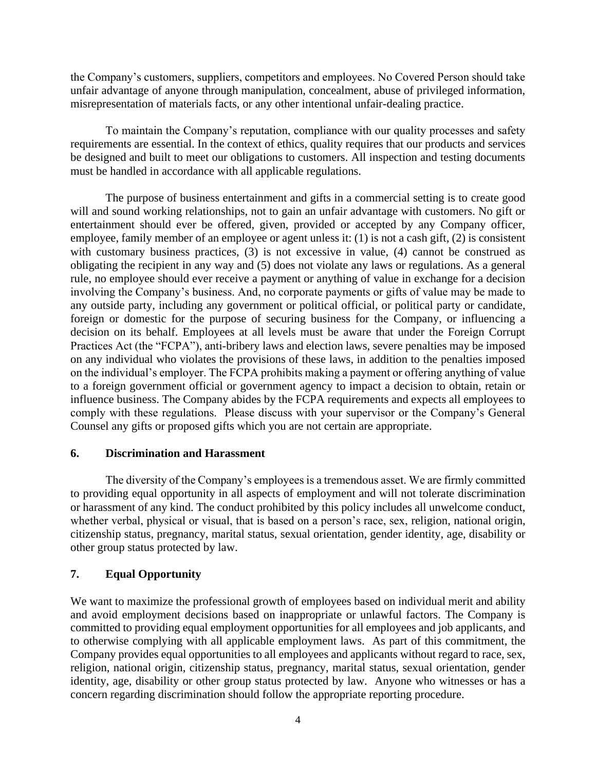the Company's customers, suppliers, competitors and employees. No Covered Person should take unfair advantage of anyone through manipulation, concealment, abuse of privileged information, misrepresentation of materials facts, or any other intentional unfair-dealing practice.

To maintain the Company's reputation, compliance with our quality processes and safety requirements are essential. In the context of ethics, quality requires that our products and services be designed and built to meet our obligations to customers. All inspection and testing documents must be handled in accordance with all applicable regulations.

The purpose of business entertainment and gifts in a commercial setting is to create good will and sound working relationships, not to gain an unfair advantage with customers. No gift or entertainment should ever be offered, given, provided or accepted by any Company officer, employee, family member of an employee or agent unless it: (1) is not a cash gift, (2) is consistent with customary business practices, (3) is not excessive in value, (4) cannot be construed as obligating the recipient in any way and (5) does not violate any laws or regulations. As a general rule, no employee should ever receive a payment or anything of value in exchange for a decision involving the Company's business. And, no corporate payments or gifts of value may be made to any outside party, including any government or political official, or political party or candidate, foreign or domestic for the purpose of securing business for the Company, or influencing a decision on its behalf. Employees at all levels must be aware that under the Foreign Corrupt Practices Act (the "FCPA"), anti-bribery laws and election laws, severe penalties may be imposed on any individual who violates the provisions of these laws, in addition to the penalties imposed on the individual's employer. The FCPA prohibits making a payment or offering anything of value to a foreign government official or government agency to impact a decision to obtain, retain or influence business. The Company abides by the FCPA requirements and expects all employees to comply with these regulations. Please discuss with your supervisor or the Company's General Counsel any gifts or proposed gifts which you are not certain are appropriate.

# **6. Discrimination and Harassment**

The diversity of the Company's employees is a tremendous asset. We are firmly committed to providing equal opportunity in all aspects of employment and will not tolerate discrimination or harassment of any kind. The conduct prohibited by this policy includes all unwelcome conduct, whether verbal, physical or visual, that is based on a person's race, sex, religion, national origin, citizenship status, pregnancy, marital status, sexual orientation, gender identity, age, disability or other group status protected by law.

# **7. Equal Opportunity**

We want to maximize the professional growth of employees based on individual merit and ability and avoid employment decisions based on inappropriate or unlawful factors. The Company is committed to providing equal employment opportunities for all employees and job applicants, and to otherwise complying with all applicable employment laws. As part of this commitment, the Company provides equal opportunities to all employees and applicants without regard to race, sex, religion, national origin, citizenship status, pregnancy, marital status, sexual orientation, gender identity, age, disability or other group status protected by law. Anyone who witnesses or has a concern regarding discrimination should follow the appropriate reporting procedure.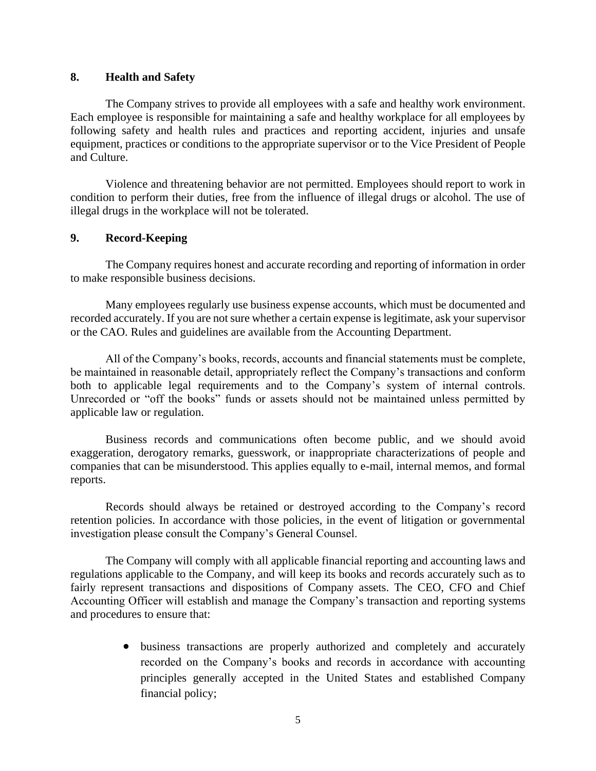#### **8. Health and Safety**

The Company strives to provide all employees with a safe and healthy work environment. Each employee is responsible for maintaining a safe and healthy workplace for all employees by following safety and health rules and practices and reporting accident, injuries and unsafe equipment, practices or conditions to the appropriate supervisor or to the Vice President of People and Culture.

Violence and threatening behavior are not permitted. Employees should report to work in condition to perform their duties, free from the influence of illegal drugs or alcohol. The use of illegal drugs in the workplace will not be tolerated.

# **9. Record-Keeping**

The Company requires honest and accurate recording and reporting of information in order to make responsible business decisions.

Many employees regularly use business expense accounts, which must be documented and recorded accurately. If you are not sure whether a certain expense is legitimate, ask your supervisor or the CAO. Rules and guidelines are available from the Accounting Department.

All of the Company's books, records, accounts and financial statements must be complete, be maintained in reasonable detail, appropriately reflect the Company's transactions and conform both to applicable legal requirements and to the Company's system of internal controls. Unrecorded or "off the books" funds or assets should not be maintained unless permitted by applicable law or regulation.

Business records and communications often become public, and we should avoid exaggeration, derogatory remarks, guesswork, or inappropriate characterizations of people and companies that can be misunderstood. This applies equally to e-mail, internal memos, and formal reports.

Records should always be retained or destroyed according to the Company's record retention policies. In accordance with those policies, in the event of litigation or governmental investigation please consult the Company's General Counsel.

The Company will comply with all applicable financial reporting and accounting laws and regulations applicable to the Company, and will keep its books and records accurately such as to fairly represent transactions and dispositions of Company assets. The CEO, CFO and Chief Accounting Officer will establish and manage the Company's transaction and reporting systems and procedures to ensure that:

> • business transactions are properly authorized and completely and accurately recorded on the Company's books and records in accordance with accounting principles generally accepted in the United States and established Company financial policy;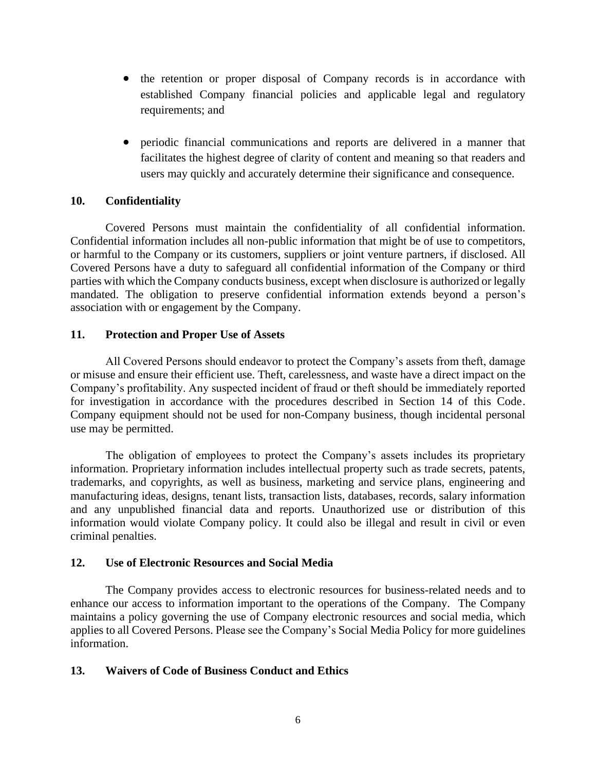- the retention or proper disposal of Company records is in accordance with established Company financial policies and applicable legal and regulatory requirements; and
- periodic financial communications and reports are delivered in a manner that facilitates the highest degree of clarity of content and meaning so that readers and users may quickly and accurately determine their significance and consequence.

# **10. Confidentiality**

Covered Persons must maintain the confidentiality of all confidential information. Confidential information includes all non-public information that might be of use to competitors, or harmful to the Company or its customers, suppliers or joint venture partners, if disclosed. All Covered Persons have a duty to safeguard all confidential information of the Company or third parties with which the Company conducts business, except when disclosure is authorized or legally mandated. The obligation to preserve confidential information extends beyond a person's association with or engagement by the Company.

#### **11. Protection and Proper Use of Assets**

All Covered Persons should endeavor to protect the Company's assets from theft, damage or misuse and ensure their efficient use. Theft, carelessness, and waste have a direct impact on the Company's profitability. Any suspected incident of fraud or theft should be immediately reported for investigation in accordance with the procedures described in Section 14 of this Code. Company equipment should not be used for non-Company business, though incidental personal use may be permitted.

The obligation of employees to protect the Company's assets includes its proprietary information. Proprietary information includes intellectual property such as trade secrets, patents, trademarks, and copyrights, as well as business, marketing and service plans, engineering and manufacturing ideas, designs, tenant lists, transaction lists, databases, records, salary information and any unpublished financial data and reports. Unauthorized use or distribution of this information would violate Company policy. It could also be illegal and result in civil or even criminal penalties.

#### **12. Use of Electronic Resources and Social Media**

The Company provides access to electronic resources for business-related needs and to enhance our access to information important to the operations of the Company. The Company maintains a policy governing the use of Company electronic resources and social media, which applies to all Covered Persons. Please see the Company's Social Media Policy for more guidelines information.

# **13. Waivers of Code of Business Conduct and Ethics**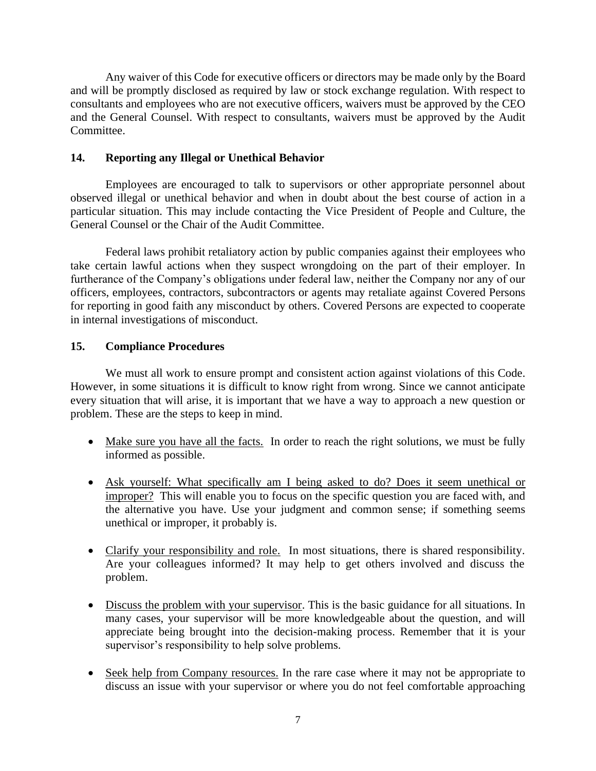Any waiver of this Code for executive officers or directors may be made only by the Board and will be promptly disclosed as required by law or stock exchange regulation. With respect to consultants and employees who are not executive officers, waivers must be approved by the CEO and the General Counsel. With respect to consultants, waivers must be approved by the Audit Committee.

# **14. Reporting any Illegal or Unethical Behavior**

Employees are encouraged to talk to supervisors or other appropriate personnel about observed illegal or unethical behavior and when in doubt about the best course of action in a particular situation. This may include contacting the Vice President of People and Culture, the General Counsel or the Chair of the Audit Committee.

Federal laws prohibit retaliatory action by public companies against their employees who take certain lawful actions when they suspect wrongdoing on the part of their employer. In furtherance of the Company's obligations under federal law, neither the Company nor any of our officers, employees, contractors, subcontractors or agents may retaliate against Covered Persons for reporting in good faith any misconduct by others. Covered Persons are expected to cooperate in internal investigations of misconduct.

# **15. Compliance Procedures**

We must all work to ensure prompt and consistent action against violations of this Code. However, in some situations it is difficult to know right from wrong. Since we cannot anticipate every situation that will arise, it is important that we have a way to approach a new question or problem. These are the steps to keep in mind.

- Make sure you have all the facts. In order to reach the right solutions, we must be fully informed as possible.
- Ask yourself: What specifically am I being asked to do? Does it seem unethical or improper? This will enable you to focus on the specific question you are faced with, and the alternative you have. Use your judgment and common sense; if something seems unethical or improper, it probably is.
- Clarify your responsibility and role. In most situations, there is shared responsibility. Are your colleagues informed? It may help to get others involved and discuss the problem.
- Discuss the problem with your supervisor. This is the basic guidance for all situations. In many cases, your supervisor will be more knowledgeable about the question, and will appreciate being brought into the decision-making process. Remember that it is your supervisor's responsibility to help solve problems.
- Seek help from Company resources. In the rare case where it may not be appropriate to discuss an issue with your supervisor or where you do not feel comfortable approaching